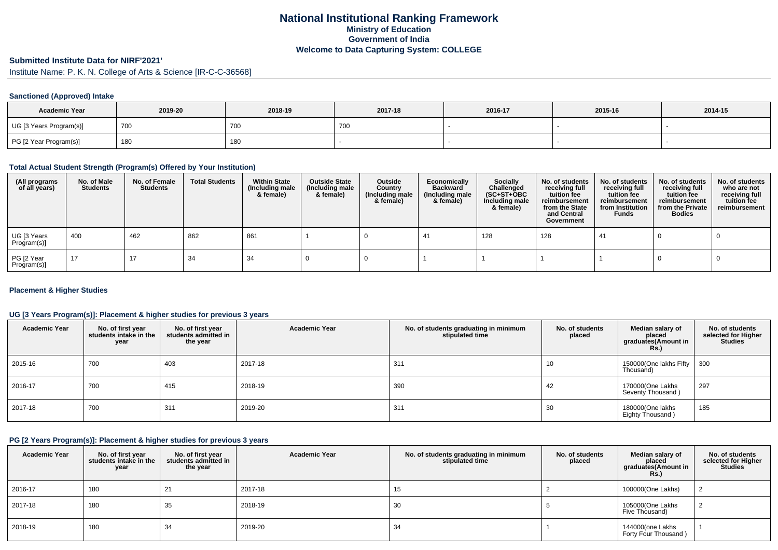## **National Institutional Ranking FrameworkMinistry of Education Government of IndiaWelcome to Data Capturing System: COLLEGE**

# **Submitted Institute Data for NIRF'2021'**

Institute Name: P. K. N. College of Arts & Science [IR-C-C-36568]

#### **Sanctioned (Approved) Intake**

| <b>Academic Year</b>    | 2019-20 | 2018-19    | 2017-18 | 2016-17 | 2015-16 | 2014-15 |
|-------------------------|---------|------------|---------|---------|---------|---------|
| UG [3 Years Program(s)] | 700     | <b>700</b> | 7 U.V   |         |         |         |
| PG [2 Year Program(s)]  | 180     | 180        |         |         |         |         |

### **Total Actual Student Strength (Program(s) Offered by Your Institution)**

| (All programs<br>of all years) | No. of Male<br><b>Students</b> | No. of Female<br>Students | <b>Total Students</b> | <b>Within State</b><br>(Including male<br>& female) | <b>Outside State</b><br>(Including male<br>& female) | Outside<br>Country<br>(Including male<br>& female) | Economically<br>Backward<br>(Including male)<br>& female) | <b>Socially</b><br>Challenged<br>$(SC+ST+OBC)$<br>Including male<br>& female) | No. of students<br>receiving full<br>tuition fee<br>reimbursement<br>from the State<br>and Central<br>Government | No. of students<br>receiving full<br>tuition fee<br>reimbursement<br>from Institution<br><b>Funds</b> | No. of students<br>receiving full<br>tuition fee<br>reimbursement<br>from the Private<br><b>Bodies</b> | No. of students<br>who are not<br>receiving full<br>tuition fee<br>reimbursement |
|--------------------------------|--------------------------------|---------------------------|-----------------------|-----------------------------------------------------|------------------------------------------------------|----------------------------------------------------|-----------------------------------------------------------|-------------------------------------------------------------------------------|------------------------------------------------------------------------------------------------------------------|-------------------------------------------------------------------------------------------------------|--------------------------------------------------------------------------------------------------------|----------------------------------------------------------------------------------|
| UG [3 Years<br>Program(s)]     | 400                            | 462                       | 862                   | 861                                                 |                                                      |                                                    | -41                                                       | 128                                                                           | 128                                                                                                              | 41                                                                                                    |                                                                                                        |                                                                                  |
| PG [2 Year<br>Program(s)]      | 17                             | 17                        | 34                    | 34                                                  |                                                      |                                                    |                                                           |                                                                               |                                                                                                                  |                                                                                                       |                                                                                                        |                                                                                  |

#### **Placement & Higher Studies**

#### **UG [3 Years Program(s)]: Placement & higher studies for previous 3 years**

| <b>Academic Year</b> | No. of first year<br>students intake in the<br>year | No. of first year<br>students admitted in<br>the year | <b>Academic Year</b> | No. of students graduating in minimum<br>stipulated time | No. of students<br>placed | Median salary of<br>placed<br>graduates(Amount in<br>Rs. | No. of students<br>selected for Higher<br><b>Studies</b> |
|----------------------|-----------------------------------------------------|-------------------------------------------------------|----------------------|----------------------------------------------------------|---------------------------|----------------------------------------------------------|----------------------------------------------------------|
| 2015-16              | 700                                                 | 403                                                   | 2017-18              | 311                                                      | 10                        | 150000(One lakhs Fifty   300<br>Thousand)                |                                                          |
| 2016-17              | 700                                                 | 415                                                   | 2018-19              | 390                                                      | 42                        | 170000(One Lakhs<br>Seventy Thousand)                    | 297                                                      |
| 2017-18              | 700                                                 | 31 <sup>1</sup>                                       | 2019-20              | 311                                                      | 30                        | 180000(One lakhs<br>Eighty Thousand)                     | 185                                                      |

#### **PG [2 Years Program(s)]: Placement & higher studies for previous 3 years**

| <b>Academic Year</b> | No. of first year<br>students intake in the<br>year | No. of first year<br>students admitted in<br>the year | <b>Academic Year</b> | No. of students graduating in minimum<br>stipulated time | No. of students<br>placed | Median salary of<br>placed<br>graduates(Amount in<br>Rs. | No. of students<br>selected for Higher<br><b>Studies</b> |
|----------------------|-----------------------------------------------------|-------------------------------------------------------|----------------------|----------------------------------------------------------|---------------------------|----------------------------------------------------------|----------------------------------------------------------|
| 2016-17              | 180                                                 | 21                                                    | 2017-18              |                                                          |                           | 100000(One Lakhs)                                        |                                                          |
| 2017-18              | 180                                                 | 35                                                    | 2018-19              | 30                                                       |                           | 105000(One Lakhs<br>Five Thousand)                       |                                                          |
| 2018-19              | 180                                                 | 34                                                    | 2019-20              | 34                                                       |                           | 144000(one Lakhs<br>Forty Four Thousand)                 |                                                          |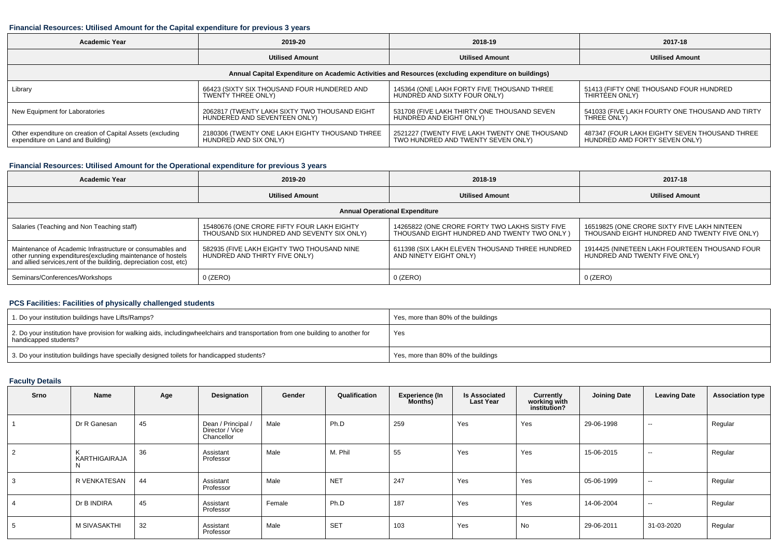#### **Financial Resources: Utilised Amount for the Capital expenditure for previous 3 years**

| <b>Academic Year</b>                                                                                 | 2019-20                                        | 2018-19                                       | 2017-18                                         |  |  |  |  |  |  |  |  |
|------------------------------------------------------------------------------------------------------|------------------------------------------------|-----------------------------------------------|-------------------------------------------------|--|--|--|--|--|--|--|--|
|                                                                                                      | <b>Utilised Amount</b>                         | <b>Utilised Amount</b>                        | <b>Utilised Amount</b>                          |  |  |  |  |  |  |  |  |
| Annual Capital Expenditure on Academic Activities and Resources (excluding expenditure on buildings) |                                                |                                               |                                                 |  |  |  |  |  |  |  |  |
| Library                                                                                              | 66423 (SIXTY SIX THOUSAND FOUR HUNDERED AND    | 145364 (ONE LAKH FORTY FIVE THOUSAND THREE    | 51413 (FIFTY ONE THOUSAND FOUR HUNDRED          |  |  |  |  |  |  |  |  |
|                                                                                                      | <b>TWENTY THREE ONLY)</b>                      | HUNDRED AND SIXTY FOUR ONLY)                  | THIRTEEN ONLY)                                  |  |  |  |  |  |  |  |  |
| New Equipment for Laboratories                                                                       | 2062817 (TWENTY LAKH SIXTY TWO THOUSAND EIGHT  | 531708 (FIVE LAKH THIRTY ONE THOUSAND SEVEN   | 541033 (FIVE LAKH FOURTY ONE THOUSAND AND TIRTY |  |  |  |  |  |  |  |  |
|                                                                                                      | HUNDERED AND SEVENTEEN ONLY)                   | HUNDRED AND EIGHT ONLY)                       | THREE ONLY)                                     |  |  |  |  |  |  |  |  |
| Other expenditure on creation of Capital Assets (excluding                                           | 2180306 (TWENTY ONE LAKH EIGHTY THOUSAND THREE | 2521227 (TWENTY FIVE LAKH TWENTY ONE THOUSAND | 487347 (FOUR LAKH EIGHTY SEVEN THOUSAND THREE   |  |  |  |  |  |  |  |  |
| expenditure on Land and Building)                                                                    | HUNDRED AND SIX ONLY)                          | TWO HUNDRED AND TWENTY SEVEN ONLY)            | HUNDRED AMD FORTY SEVEN ONLY)                   |  |  |  |  |  |  |  |  |

## **Financial Resources: Utilised Amount for the Operational expenditure for previous 3 years**

| <b>Academic Year</b>                                                                                                                                                                           | 2019-20                                                                                  | 2018-19                                                                                        | 2017-18                                                                                     |  |  |  |  |  |  |  |  |  |
|------------------------------------------------------------------------------------------------------------------------------------------------------------------------------------------------|------------------------------------------------------------------------------------------|------------------------------------------------------------------------------------------------|---------------------------------------------------------------------------------------------|--|--|--|--|--|--|--|--|--|
|                                                                                                                                                                                                | <b>Utilised Amount</b>                                                                   | <b>Utilised Amount</b>                                                                         | <b>Utilised Amount</b>                                                                      |  |  |  |  |  |  |  |  |  |
| <b>Annual Operational Expenditure</b>                                                                                                                                                          |                                                                                          |                                                                                                |                                                                                             |  |  |  |  |  |  |  |  |  |
| Salaries (Teaching and Non Teaching staff)                                                                                                                                                     | 15480676 (ONE CRORE FIFTY FOUR LAKH EIGHTY<br>THOUSAND SIX HUNDRED AND SEVENTY SIX ONLY) | 14265822 (ONE CRORE FORTY TWO LAKHS SISTY FIVE<br>THOUSAND EIGHT HUNDRED AND TWENTY TWO ONLY ) | 16519825 (ONE CRORE SIXTY FIVE LAKH NINTEEN<br>THOUSAND EIGHT HUNDRED AND TWENTY FIVE ONLY) |  |  |  |  |  |  |  |  |  |
| Maintenance of Academic Infrastructure or consumables and<br>other running expenditures(excluding maintenance of hostels<br>and allied services, rent of the building, depreciation cost, etc) | 582935 (FIVE LAKH EIGHTY TWO THOUSAND NINE<br>HUNDRED AND THIRTY FIVE ONLY)              | 611398 (SIX LAKH ELEVEN THOUSAND THREE HUNDRED<br>AND NINETY EIGHT ONLY)                       | 1914425 (NINETEEN LAKH FOURTEEN THOUSAND FOUR<br>HUNDRED AND TWENTY FIVE ONLY)              |  |  |  |  |  |  |  |  |  |
| Seminars/Conferences/Workshops                                                                                                                                                                 | $0$ (ZERO)                                                                               | 0 (ZERO)                                                                                       | $0$ (ZERO)                                                                                  |  |  |  |  |  |  |  |  |  |

## **PCS Facilities: Facilities of physically challenged students**

| 1. Do your institution buildings have Lifts/Ramps?                                                                                                        | Yes, more than 80% of the buildings |
|-----------------------------------------------------------------------------------------------------------------------------------------------------------|-------------------------------------|
| 2. Do your institution have provision for walking aids, includingwheelchairs and transportation from one building to another for<br>handicapped students? | Yes                                 |
| 3. Do your institution buildings have specially designed toilets for handicapped students?                                                                | Yes, more than 80% of the buildings |

## **Faculty Details**

| Srno | Name                      | Age | Designation                                         | Gender | Qualification | <b>Experience (In</b><br>Months) | <b>Is Associated</b><br><b>Last Year</b> | Currently<br>working with<br>institution? | <b>Joining Date</b> | <b>Leaving Date</b> | <b>Association type</b> |
|------|---------------------------|-----|-----------------------------------------------------|--------|---------------|----------------------------------|------------------------------------------|-------------------------------------------|---------------------|---------------------|-------------------------|
|      | Dr R Ganesan              | 45  | Dean / Principal /<br>Director / Vice<br>Chancellor | Male   | Ph.D          | 259                              | Yes                                      | Yes                                       | 29-06-1998          | $\sim$              | Regular                 |
| 2    | ĸ<br><b>KARTHIGAIRAJA</b> | 36  | Assistant<br>Professor                              | Male   | M. Phil       | 55                               | Yes                                      | Yes                                       | 15-06-2015          | $\sim$              | Regular                 |
| 3    | R VENKATESAN              | 44  | Assistant<br>Professor                              | Male   | <b>NET</b>    | 247                              | Yes                                      | Yes                                       | 05-06-1999          | $\sim$              | Regular                 |
|      | Dr B INDIRA               | 45  | Assistant<br>Professor                              | Female | Ph.D          | 187                              | Yes                                      | Yes                                       | 14-06-2004          | $\sim$              | Regular                 |
| 5    | M SIVASAKTHI              | 32  | Assistant<br>Professor                              | Male   | <b>SET</b>    | 103                              | Yes                                      | No                                        | 29-06-2011          | 31-03-2020          | Regular                 |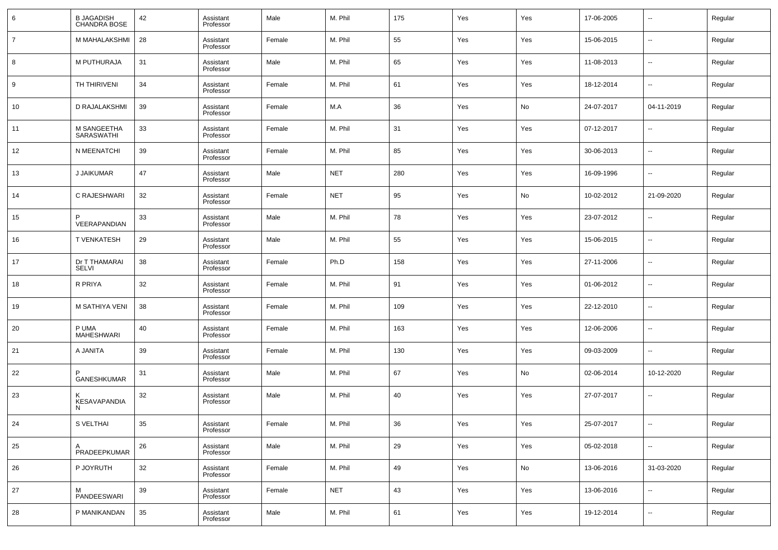| 6              | <b>B JAGADISH</b><br>CHANDRA BOSE | 42 | Assistant<br>Professor | Male   | M. Phil    | 175 | Yes | Yes | 17-06-2005 | $\overline{\phantom{a}}$ | Regular |
|----------------|-----------------------------------|----|------------------------|--------|------------|-----|-----|-----|------------|--------------------------|---------|
| $\overline{7}$ | M MAHALAKSHMI                     | 28 | Assistant<br>Professor | Female | M. Phil    | 55  | Yes | Yes | 15-06-2015 | $\overline{\phantom{a}}$ | Regular |
| 8              | M PUTHURAJA                       | 31 | Assistant<br>Professor | Male   | M. Phil    | 65  | Yes | Yes | 11-08-2013 | $\overline{\phantom{a}}$ | Regular |
| 9              | TH THIRIVENI                      | 34 | Assistant<br>Professor | Female | M. Phil    | 61  | Yes | Yes | 18-12-2014 | $\overline{\phantom{a}}$ | Regular |
| 10             | <b>D RAJALAKSHMI</b>              | 39 | Assistant<br>Professor | Female | M.A        | 36  | Yes | No  | 24-07-2017 | 04-11-2019               | Regular |
| 11             | M SANGEETHA<br>SARASWATHI         | 33 | Assistant<br>Professor | Female | M. Phil    | 31  | Yes | Yes | 07-12-2017 | $\overline{\phantom{a}}$ | Regular |
| 12             | N MEENATCHI                       | 39 | Assistant<br>Professor | Female | M. Phil    | 85  | Yes | Yes | 30-06-2013 | $\overline{\phantom{a}}$ | Regular |
| 13             | <b>J JAIKUMAR</b>                 | 47 | Assistant<br>Professor | Male   | <b>NET</b> | 280 | Yes | Yes | 16-09-1996 | $\overline{\phantom{a}}$ | Regular |
| 14             | C RAJESHWARI                      | 32 | Assistant<br>Professor | Female | <b>NET</b> | 95  | Yes | No  | 10-02-2012 | 21-09-2020               | Regular |
| 15             | <b>VEERAPANDIAN</b>               | 33 | Assistant<br>Professor | Male   | M. Phil    | 78  | Yes | Yes | 23-07-2012 | $\overline{\phantom{a}}$ | Regular |
| 16             | <b>T VENKATESH</b>                | 29 | Assistant<br>Professor | Male   | M. Phil    | 55  | Yes | Yes | 15-06-2015 | $\overline{\phantom{a}}$ | Regular |
| 17             | Dr T THAMARAI<br>SELVI            | 38 | Assistant<br>Professor | Female | Ph.D       | 158 | Yes | Yes | 27-11-2006 | $\overline{\phantom{a}}$ | Regular |
| 18             | R PRIYA                           | 32 | Assistant<br>Professor | Female | M. Phil    | 91  | Yes | Yes | 01-06-2012 | $\overline{\phantom{a}}$ | Regular |
| 19             | M SATHIYA VENI                    | 38 | Assistant<br>Professor | Female | M. Phil    | 109 | Yes | Yes | 22-12-2010 | $\overline{\phantom{a}}$ | Regular |
| 20             | P UMA<br>MAHESHWARI               | 40 | Assistant<br>Professor | Female | M. Phil    | 163 | Yes | Yes | 12-06-2006 | $\overline{\phantom{a}}$ | Regular |
| 21             | A JANITA                          | 39 | Assistant<br>Professor | Female | M. Phil    | 130 | Yes | Yes | 09-03-2009 | $\overline{\phantom{a}}$ | Regular |
| 22             | P<br><b>GANESHKUMAR</b>           | 31 | Assistant<br>Professor | Male   | M. Phil    | 67  | Yes | No  | 02-06-2014 | 10-12-2020               | Regular |
| 23             | KESAVAPANDIA<br>N.                | 32 | Assistant<br>Professor | Male   | M. Phil    | 40  | Yes | Yes | 27-07-2017 | $\overline{\phantom{a}}$ | Regular |
| 24             | S VELTHAI                         | 35 | Assistant<br>Professor | Female | M. Phil    | 36  | Yes | Yes | 25-07-2017 |                          | Regular |
| 25             | A<br>PRADEEPKUMAR                 | 26 | Assistant<br>Professor | Male   | M. Phil    | 29  | Yes | Yes | 05-02-2018 | $\overline{\phantom{a}}$ | Regular |
| 26             | P JOYRUTH                         | 32 | Assistant<br>Professor | Female | M. Phil    | 49  | Yes | No  | 13-06-2016 | 31-03-2020               | Regular |
| 27             | M<br>PANDEESWARI                  | 39 | Assistant<br>Professor | Female | <b>NET</b> | 43  | Yes | Yes | 13-06-2016 | $\overline{\phantom{a}}$ | Regular |
| 28             | P MANIKANDAN                      | 35 | Assistant<br>Professor | Male   | M. Phil    | 61  | Yes | Yes | 19-12-2014 | $\overline{\phantom{a}}$ | Regular |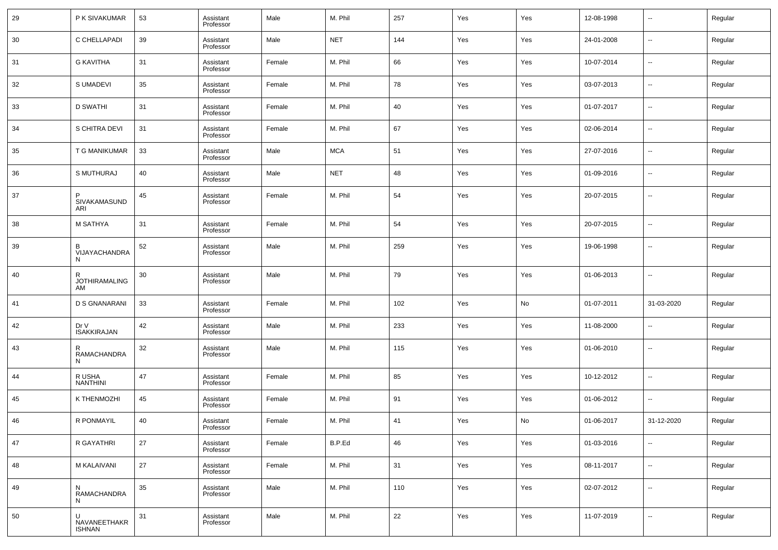| 29 | P K SIVAKUMAR                   | 53 | Assistant<br>Professor | Male   | M. Phil    | 257 | Yes | Yes | 12-08-1998 | $\overline{\phantom{a}}$ | Regular |
|----|---------------------------------|----|------------------------|--------|------------|-----|-----|-----|------------|--------------------------|---------|
| 30 | C CHELLAPADI                    | 39 | Assistant<br>Professor | Male   | <b>NET</b> | 144 | Yes | Yes | 24-01-2008 | $\overline{\phantom{a}}$ | Regular |
| 31 | <b>G KAVITHA</b>                | 31 | Assistant<br>Professor | Female | M. Phil    | 66  | Yes | Yes | 10-07-2014 | $\overline{\phantom{a}}$ | Regular |
| 32 | S UMADEVI                       | 35 | Assistant<br>Professor | Female | M. Phil    | 78  | Yes | Yes | 03-07-2013 | $\overline{\phantom{a}}$ | Regular |
| 33 | <b>D SWATHI</b>                 | 31 | Assistant<br>Professor | Female | M. Phil    | 40  | Yes | Yes | 01-07-2017 | $\overline{\phantom{a}}$ | Regular |
| 34 | S CHITRA DEVI                   | 31 | Assistant<br>Professor | Female | M. Phil    | 67  | Yes | Yes | 02-06-2014 | $\overline{\phantom{a}}$ | Regular |
| 35 | T G MANIKUMAR                   | 33 | Assistant<br>Professor | Male   | <b>MCA</b> | 51  | Yes | Yes | 27-07-2016 | $\overline{\phantom{a}}$ | Regular |
| 36 | S MUTHURAJ                      | 40 | Assistant<br>Professor | Male   | <b>NET</b> | 48  | Yes | Yes | 01-09-2016 | $\overline{\phantom{a}}$ | Regular |
| 37 | Þ<br>SIVAKAMASUND<br>ARI        | 45 | Assistant<br>Professor | Female | M. Phil    | 54  | Yes | Yes | 20-07-2015 | $\sim$                   | Regular |
| 38 | M SATHYA                        | 31 | Assistant<br>Professor | Female | M. Phil    | 54  | Yes | Yes | 20-07-2015 | $\overline{a}$           | Regular |
| 39 | B<br>VIJAYACHANDRA<br>N         | 52 | Assistant<br>Professor | Male   | M. Phil    | 259 | Yes | Yes | 19-06-1998 | --                       | Regular |
| 40 | R<br><b>JOTHIRAMALING</b><br>AM | 30 | Assistant<br>Professor | Male   | M. Phil    | 79  | Yes | Yes | 01-06-2013 | --                       | Regular |
| 41 | <b>D S GNANARANI</b>            | 33 | Assistant<br>Professor | Female | M. Phil    | 102 | Yes | No  | 01-07-2011 | 31-03-2020               | Regular |
| 42 | Dr V<br><b>ISAKKIRAJAN</b>      | 42 | Assistant<br>Professor | Male   | M. Phil    | 233 | Yes | Yes | 11-08-2000 | $\sim$                   | Regular |
| 43 | R<br>RAMACHANDRA<br>N           | 32 | Assistant<br>Professor | Male   | M. Phil    | 115 | Yes | Yes | 01-06-2010 | --                       | Regular |
| 44 | R USHA<br><b>NANTHINI</b>       | 47 | Assistant<br>Professor | Female | M. Phil    | 85  | Yes | Yes | 10-12-2012 | --                       | Regular |
| 45 | K THENMOZHI                     | 45 | Assistant<br>Professor | Female | M. Phil    | 91  | Yes | Yes | 01-06-2012 | --                       | Regular |
| 46 | R PONMAYIL                      | 40 | Assistant<br>Professor | Female | M. Phil    | 41  | Yes | No  | 01-06-2017 | 31-12-2020               | Regular |
| 47 | R GAYATHRI                      | 27 | Assistant<br>Professor | Female | B.P.Ed     | 46  | Yes | Yes | 01-03-2016 | $\sim$                   | Regular |
| 48 | M KALAIVANI                     | 27 | Assistant<br>Professor | Female | M. Phil    | 31  | Yes | Yes | 08-11-2017 | $\sim$                   | Regular |
| 49 | N<br>RAMACHANDRA<br>N           | 35 | Assistant<br>Professor | Male   | M. Phil    | 110 | Yes | Yes | 02-07-2012 | $\sim$                   | Regular |
| 50 | NAVANEETHAKR<br><b>ISHNAN</b>   | 31 | Assistant<br>Professor | Male   | M. Phil    | 22  | Yes | Yes | 11-07-2019 | $\sim$                   | Regular |